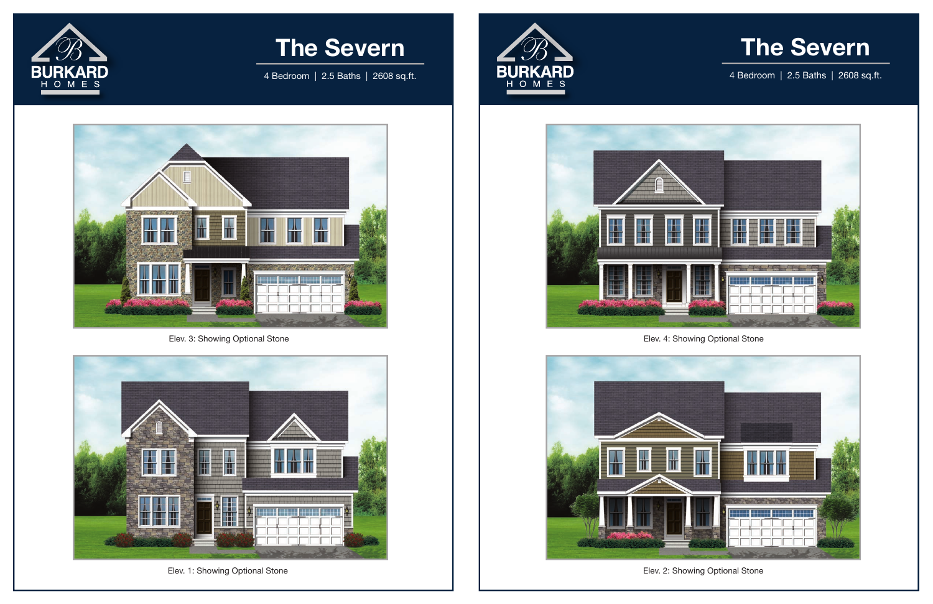## **The Severn**

4 Bedroom | 2.5 Baths | 2608 sq.ft.



Elev. 3: Showing Optional Stone





4 Bedroom | 2.5 Baths | 2608 sq.ft.



Elev. 1: Showing Optional Stone







Elev. 4: Showing Optional Stone

Elev. 2: Showing Optional Stone